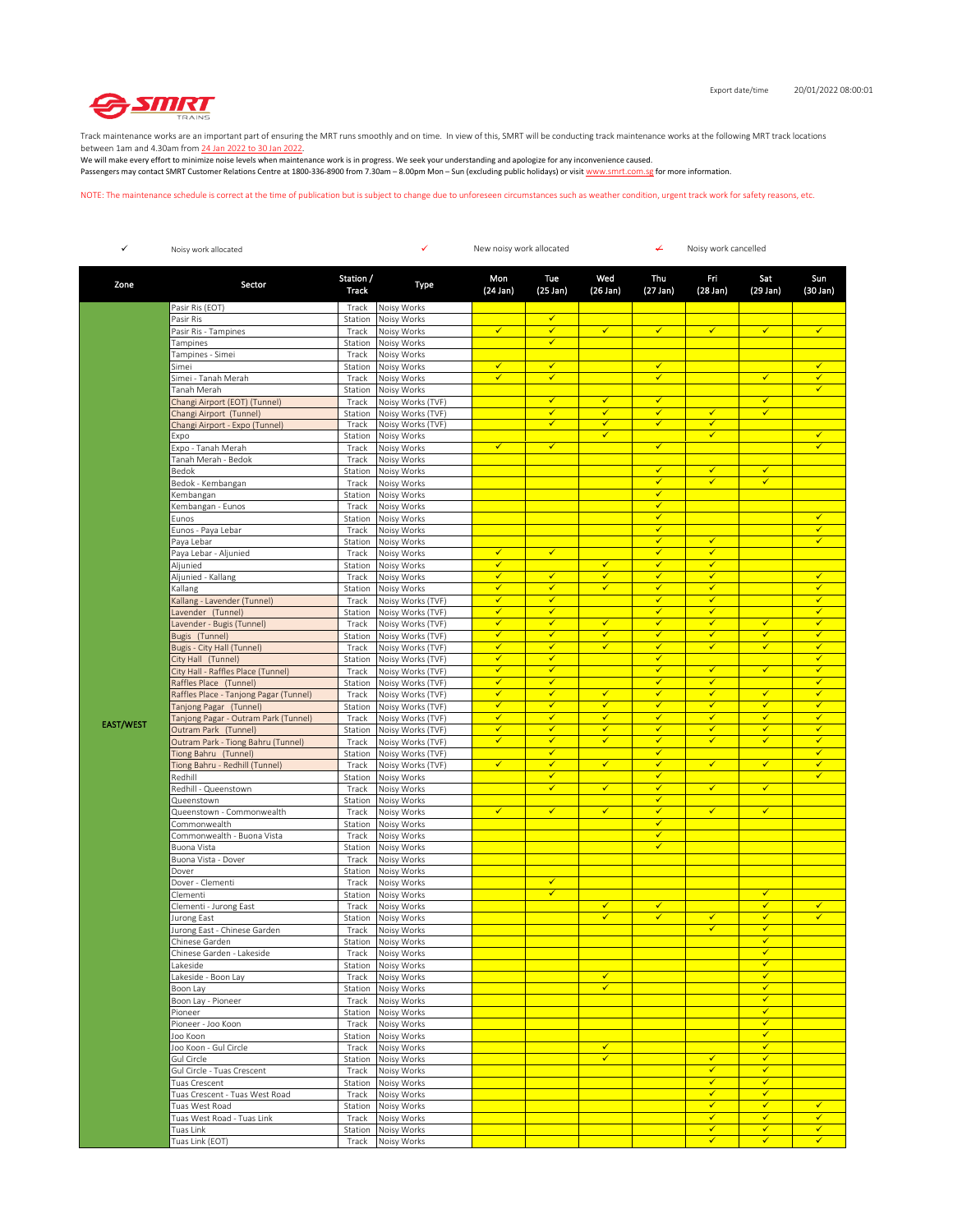

Track maintenance works are an important part of ensuring the MRT runs smoothly and on time. In view of this, SMRT will be conducting track maintenance works at the following MRT track locations between 1am and 4.30am from 24 Jan 2022 to 30 Jan 2022.

We will make every effort to minimize noise levels when maintenance work is in progress. We seek your understanding and apologize for any inconvenience caused. Passengers may contact SMRT Customer Relations Centre at 1800-336-8900 from 7.30am – 8.00pm Mon – Sun (excluding public holidays) or visit www.smrt.com.sg for more information.

NOTE: The maintenance schedule is correct at the time of publication but is subject to change due to unforeseen circumstances such as weather condition, urgent track work for safety reasons, etc.

| ✓                | Noisy work allocated                                           |                    | ✓<br>New noisy work allocated          |                              |                              | ↚<br>Noisy work cancelled    |                              |                   |                              |                 |
|------------------|----------------------------------------------------------------|--------------------|----------------------------------------|------------------------------|------------------------------|------------------------------|------------------------------|-------------------|------------------------------|-----------------|
| Zone             | Sector                                                         | Station /<br>Track | Type                                   | Mon<br>(24 Jan)              | Tue<br>(25 Jan)              | Wed<br>(26 Jan)              | Thu<br>(27 Jan)              | Fri<br>(28 Jan)   | Sat<br>(29 Jan)              | Sun<br>(30 Jan) |
|                  | Pasir Ris (EOT)                                                | Track              | Noisy Works                            |                              |                              |                              |                              |                   |                              |                 |
|                  | Pasir Ris                                                      | Station            | Noisy Works                            |                              | $\checkmark$                 |                              |                              |                   |                              |                 |
|                  | Pasir Ris - Tampines                                           | Track              | Noisy Works                            | $\checkmark$                 | $\checkmark$                 | $\checkmark$                 | $\checkmark$                 | $\checkmark$      | $\checkmark$                 | $\checkmark$    |
|                  | Tampines                                                       | Station            | Noisy Works                            |                              | ✓                            |                              |                              |                   |                              |                 |
|                  | Tampines - Simei<br>Simei                                      | Track<br>Station   | Noisy Works<br>Noisy Works             | $\checkmark$                 | $\checkmark$                 |                              | $\checkmark$                 |                   |                              | ✓               |
|                  | Simei - Tanah Merah                                            | Track              | Noisy Works                            | $\checkmark$                 | $\checkmark$                 |                              | $\checkmark$                 |                   | $\checkmark$                 | $\checkmark$    |
|                  | Tanah Merah                                                    | Station            | Noisy Works                            |                              |                              |                              |                              |                   |                              | ✓               |
|                  | Changi Airport (EOT) (Tunnel)                                  | Track              | Noisy Works (TVF)                      |                              | ✓                            | $\checkmark$                 | ✓                            |                   | $\checkmark$                 |                 |
|                  | Changi Airport (Tunnel)                                        | Station            | Noisy Works (TVF)                      |                              | ✓                            | $\checkmark$                 | ✓                            | ✓                 | ✓                            |                 |
|                  | Changi Airport - Expo (Tunnel)                                 | Track              | Noisy Works (TVF)                      |                              | $\checkmark$                 | $\checkmark$                 | $\checkmark$                 | $\checkmark$      |                              |                 |
|                  | Expo                                                           | Station            | Noisy Works<br>Noisy Works             | $\checkmark$                 | $\checkmark$                 | $\checkmark$                 | $\checkmark$                 | ✓                 |                              | ✓<br>✓          |
|                  | Expo - Tanah Merah<br>Tanah Merah - Bedok                      | Track<br>Track     | Noisy Works                            |                              |                              |                              |                              |                   |                              |                 |
|                  | Bedok                                                          | Station            | Noisy Works                            |                              |                              |                              | $\checkmark$                 | $\checkmark$      | $\checkmark$                 |                 |
|                  | Bedok - Kembangan                                              | Track              | Noisy Works                            |                              |                              |                              | ✓                            | v                 | ✓                            |                 |
|                  | Kembangan                                                      | Station            | Noisy Works                            |                              |                              |                              | $\checkmark$                 |                   |                              |                 |
|                  | Kembangan - Eunos                                              | Track              | Noisy Works                            |                              |                              |                              | $\checkmark$                 |                   |                              |                 |
|                  | Eunos                                                          | Station            | Noisy Works                            |                              |                              |                              | $\checkmark$                 |                   |                              | $\checkmark$    |
|                  | Eunos - Paya Lebar                                             | Track              | Noisy Works                            |                              |                              |                              | ✓                            |                   |                              | ✓               |
|                  | Paya Lebar                                                     | Station            | Noisy Works                            |                              |                              |                              | $\checkmark$                 | $\checkmark$      |                              | ✓               |
|                  | Paya Lebar - Aljunied                                          | Track              | Noisy Works                            | ✓<br>$\checkmark$            | ✓                            | $\checkmark$                 | ✓<br>✓                       | ✔<br>$\checkmark$ |                              |                 |
|                  | Aljunied                                                       | Station            | Noisy Works<br>Noisy Works             | ✓                            | $\checkmark$                 | $\checkmark$                 | ✓                            | ✓                 |                              | ✓               |
|                  | Aljunied - Kallang<br>Kallang                                  | Track<br>Station   | Noisy Works                            | $\checkmark$                 | $\checkmark$                 | $\checkmark$                 | $\checkmark$                 | $\checkmark$      |                              | $\checkmark$    |
|                  | Kallang - Lavender (Tunnel)                                    | Track              | Noisy Works (TVF)                      | $\checkmark$                 | $\checkmark$                 |                              | ✓                            | ✓                 |                              | ✓               |
|                  | Lavender (Tunnel)                                              | Station            | Noisy Works (TVF)                      | $\checkmark$                 | $\checkmark$                 |                              | $\checkmark$                 | $\checkmark$      |                              | $\checkmark$    |
|                  | Lavender - Bugis (Tunnel)                                      | Track              | Noisy Works (TVF)                      | ✓                            | ✓                            | $\checkmark$                 | $\checkmark$                 | ✓                 | $\checkmark$                 | ✓               |
|                  | Bugis (Tunnel)                                                 | Station            | Noisy Works (TVF)                      | $\checkmark$                 | $\checkmark$                 | ✓                            | $\checkmark$                 | ✔                 | $\checkmark$                 | ✓               |
|                  | Bugis - City Hall (Tunnel)                                     | Track              | Noisy Works (TVF)                      | $\checkmark$                 | $\checkmark$                 | $\checkmark$                 | $\checkmark$                 | $\checkmark$      | $\checkmark$                 | $\checkmark$    |
|                  | City Hall (Tunnel)                                             | Station            | Noisy Works (TVF)                      | $\checkmark$                 | $\checkmark$                 |                              | $\checkmark$                 |                   |                              | ✓               |
|                  | City Hall - Raffles Place (Tunnel)                             | Track              | Noisy Works (TVF)                      | $\checkmark$                 | $\checkmark$                 |                              | $\checkmark$                 | $\checkmark$      | $\checkmark$                 | $\checkmark$    |
|                  | Raffles Place (Tunnel)                                         | Station            | Noisy Works (TVF)                      | $\checkmark$                 | $\checkmark$                 |                              | $\checkmark$                 | $\checkmark$      |                              | $\checkmark$    |
|                  | Raffles Place - Tanjong Pagar (Tunnel)                         | Track              | Noisy Works (TVF)                      | $\checkmark$<br>$\checkmark$ | $\checkmark$<br>$\checkmark$ | $\checkmark$<br>$\checkmark$ | $\checkmark$<br>$\checkmark$ | ✓<br>✓            | $\checkmark$<br>$\checkmark$ | ✓<br>✓          |
|                  | Tanjong Pagar (Tunnel)<br>Tanjong Pagar - Outram Park (Tunnel) | Station            | Noisy Works (TVF)                      | $\checkmark$                 | $\checkmark$                 | $\checkmark$                 | $\checkmark$                 | ✓                 | $\checkmark$                 | ✓               |
| <b>EAST/WEST</b> | Outram Park (Tunnel)                                           | Track<br>Station   | Noisy Works (TVF)<br>Noisy Works (TVF) | $\checkmark$                 | $\checkmark$                 | $\checkmark$                 | $\checkmark$                 | ✓                 | $\checkmark$                 | $\checkmark$    |
|                  | Outram Park - Tiong Bahru (Tunnel)                             | Track              | Noisy Works (TVF)                      | $\checkmark$                 | $\checkmark$                 | $\checkmark$                 | $\checkmark$                 | $\checkmark$      | $\checkmark$                 | $\checkmark$    |
|                  | Tiong Bahru (Tunnel)                                           | Station            | Noisy Works (TVF)                      |                              | $\checkmark$                 |                              | $\checkmark$                 |                   |                              | $\checkmark$    |
|                  | Tiong Bahru - Redhill (Tunnel)                                 | Track              | Noisy Works (TVF)                      | $\checkmark$                 | $\checkmark$                 | $\checkmark$                 | $\checkmark$                 | ✓                 | $\checkmark$                 | ✓               |
|                  | Redhill                                                        | Station            | Noisy Works                            |                              | $\checkmark$                 |                              | ✓                            |                   |                              | $\checkmark$    |
|                  | Redhill - Queenstown                                           | Track              | Noisy Works                            |                              | $\checkmark$                 | $\checkmark$                 | $\checkmark$                 | $\checkmark$      | $\checkmark$                 |                 |
|                  | Queenstown                                                     | Station            | Noisy Works                            |                              |                              |                              | $\checkmark$                 |                   |                              |                 |
|                  | Queenstown - Commonwealth                                      | Track              | Noisy Works                            | $\checkmark$                 | $\checkmark$                 | $\checkmark$                 | $\checkmark$<br>$\checkmark$ | ✓                 | $\checkmark$                 |                 |
|                  | Commonwealth<br>Commonwealth - Buona Vista                     | Station<br>Track   | Noisy Works<br>Noisy Works             |                              |                              |                              | $\checkmark$                 |                   |                              |                 |
|                  | Buona Vista                                                    | Station            | Noisy Works                            |                              |                              |                              | ✓                            |                   |                              |                 |
|                  | Buona Vista - Dover                                            | Track              | Noisy Works                            |                              |                              |                              |                              |                   |                              |                 |
|                  | Dover                                                          | Station            | Noisy Works                            |                              |                              |                              |                              |                   |                              |                 |
|                  | Dover - Clementi                                               | Track              | Noisy Works                            |                              | $\checkmark$                 |                              |                              |                   |                              |                 |
|                  | Clementi                                                       | Station            | Noisy Works                            |                              | $\checkmark$                 |                              |                              |                   | $\checkmark$                 |                 |
|                  | Clementi - Jurong East                                         | Track              | Noisy Works                            |                              |                              | $\checkmark$                 | $\checkmark$                 |                   | $\checkmark$                 | $\checkmark$    |
|                  | lurong East                                                    | Station            | Noisy Works                            |                              |                              | $\checkmark$                 | $\checkmark$                 | ✓<br>$\checkmark$ | $\checkmark$<br>$\checkmark$ | ✓               |
|                  | Jurong East - Chinese Garden<br>Chinese Garden                 | Track              | Noisy Works<br>Station Noisy Works     |                              |                              |                              |                              |                   | ✓                            |                 |
|                  | Chinese Garden - Lakeside                                      | Track              | Noisy Works                            |                              |                              |                              |                              |                   | $\checkmark$                 |                 |
|                  | Lakeside                                                       |                    | Station Noisy Works                    |                              |                              |                              |                              |                   | $\checkmark$                 |                 |
|                  | Lakeside - Boon Lay                                            | Track              | Noisy Works                            |                              |                              | $\checkmark$                 |                              |                   | $\checkmark$                 |                 |
|                  | Boon Lay                                                       | Station            | Noisy Works                            |                              |                              | $\checkmark$                 |                              |                   | $\checkmark$                 |                 |
|                  | Boon Lay - Pioneer                                             | Track              | Noisy Works                            |                              |                              |                              |                              |                   | $\checkmark$                 |                 |
|                  | Pioneer                                                        | Station            | Noisy Works                            |                              |                              |                              |                              |                   | $\checkmark$                 |                 |
|                  | Pioneer - Joo Koon                                             | Track              | Noisy Works                            |                              |                              |                              |                              |                   | $\checkmark$                 |                 |
|                  | loo Koon                                                       | Station            | Noisy Works                            |                              |                              | $\checkmark$                 |                              |                   | $\checkmark$<br>$\checkmark$ |                 |
|                  | loo Koon - Gul Circle<br>Gul Circle                            | Track<br>Station   | Noisy Works<br>Noisy Works             |                              |                              | $\checkmark$                 |                              | $\checkmark$      | $\checkmark$                 |                 |
|                  | Gul Circle - Tuas Crescent                                     | Track              | Noisy Works                            |                              |                              |                              |                              | ✓                 | ✓                            |                 |
|                  | Tuas Crescent                                                  | Station            | Noisy Works                            |                              |                              |                              |                              | $\checkmark$      | $\checkmark$                 |                 |
|                  | Tuas Crescent - Tuas West Road                                 | Track              | Noisy Works                            |                              |                              |                              |                              | ✓                 | $\checkmark$                 |                 |
|                  | Fuas West Road                                                 | Station            | Noisy Works                            |                              |                              |                              |                              | ✓                 | $\checkmark$                 | $\checkmark$    |
|                  | Tuas West Road - Tuas Link                                     | Track              | Noisy Works                            |                              |                              |                              |                              | ✓                 | $\checkmark$                 | ✓               |
|                  | Tuas Link                                                      | Station            | Noisy Works                            |                              |                              |                              |                              | $\checkmark$      | $\checkmark$                 | $\checkmark$    |
|                  | Tuas Link (EOT)                                                | Track              | Noisy Works                            |                              |                              |                              |                              | ✓                 | ✓                            | ✓               |